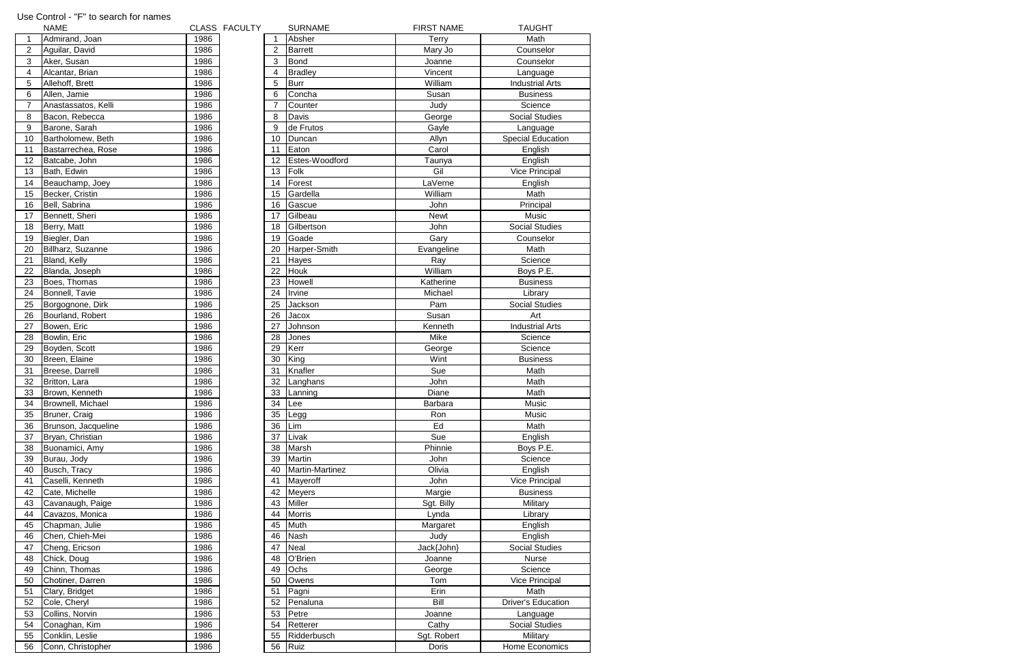|                | <b>NAME</b>         |      | CLASS FACULTY |    | <b>SURNAME</b>  | <b>FIRST NAME</b> | <b>TAUGHT</b>             |
|----------------|---------------------|------|---------------|----|-----------------|-------------------|---------------------------|
| 1              | Admirand, Joan      | 1986 |               |    | Absher          | <b>Terry</b>      | Math                      |
| $\overline{2}$ | Aguilar, David      | 1986 |               | 2  | <b>Barrett</b>  | Mary Jo           | Counselor                 |
| 3              | Aker, Susan         | 1986 |               | 3  | <b>Bond</b>     | Joanne            | Counselor                 |
| 4              | Alcantar, Brian     | 1986 |               | 4  | <b>Bradley</b>  | Vincent           | Language                  |
| 5              | Allehoff, Brett     | 1986 |               | 5  | <b>Burr</b>     | William           | <b>Industrial Arts</b>    |
| 6              | Allen, Jamie        | 1986 |               | 6  | Concha          | Susan             | <b>Business</b>           |
| $\overline{7}$ | Anastassatos, Kelli | 1986 |               | 7  | Counter         | Judy              | Science                   |
| 8              | Bacon, Rebecca      | 1986 |               | 8  | Davis           | George            | <b>Social Studies</b>     |
| 9              | Barone, Sarah       | 1986 |               | 9  | de Frutos       | Gayle             | Language                  |
| 10             | Bartholomew, Beth   | 1986 |               | 10 | Duncan          | Allyn             | <b>Special Education</b>  |
| 11             | Bastarrechea, Rose  | 1986 |               | 11 | Eaton           | Carol             | English                   |
| 12             | Batcabe, John       | 1986 |               | 12 | Estes-Woodford  | Taunya            | English                   |
| 13             | Bath, Edwin         | 1986 |               | 13 | Folk            | Gil               | Vice Principal            |
| 14             | Beauchamp, Joey     | 1986 |               | 14 | Forest          | LaVerne           | English                   |
| 15             | Becker, Cristin     | 1986 |               | 15 | Gardella        | William           | Math                      |
|                | Bell, Sabrina       | 1986 |               | 16 | Gascue          | John              | Principal                 |
| 16             |                     |      |               |    | Gilbeau         |                   |                           |
| 17             | Bennett, Sheri      | 1986 |               | 17 |                 | <b>Newt</b>       | Music                     |
| 18             | Berry, Matt         | 1986 |               | 18 | Gilbertson      | John              | <b>Social Studies</b>     |
| 19             | Biegler, Dan        | 1986 |               | 19 | Goade           | Gary              | Counselor                 |
| 20             | Billharz, Suzanne   | 1986 |               | 20 | Harper-Smith    | Evangeline        | Math                      |
| 21             | Bland, Kelly        | 1986 |               | 21 | Hayes           | Ray               | Science                   |
| 22             | Blanda, Joseph      | 1986 |               | 22 | <b>Houk</b>     | William           | Boys P.E.                 |
| 23             | Boes, Thomas        | 1986 |               | 23 | Howell          | Katherine         | <b>Business</b>           |
| 24             | Bonnell, Tavie      | 1986 |               | 24 | Irvine          | Michael           | Library                   |
| 25             | Borgognone, Dirk    | 1986 |               | 25 | Jackson         | Pam               | <b>Social Studies</b>     |
| 26             | Bourland, Robert    | 1986 |               | 26 | Jacox           | Susan             | Art                       |
| 27             | Bowen, Eric         | 1986 |               | 27 | Johnson         | Kenneth           | <b>Industrial Arts</b>    |
| 28             | Bowlin, Eric        | 1986 |               | 28 | Jones           | Mike              | Science                   |
| 29             | Boyden, Scott       | 1986 |               | 29 | Kerr            | George            | Science                   |
| 30             | Breen, Elaine       | 1986 |               | 30 | King            | Wint              | <b>Business</b>           |
| 31             | Breese, Darrell     | 1986 |               | 31 | Knafler         | Sue               | Math                      |
| 32             | Britton, Lara       | 1986 |               | 32 | Langhans        | John              | Math                      |
| 33             | Brown, Kenneth      | 1986 |               | 33 | Lanning         | Diane             | Math                      |
| 34             | Brownell, Michael   | 1986 |               | 34 | Lee             | Barbara           | Music                     |
| 35             | Bruner, Craig       | 1986 |               | 35 | Legg            | Ron               | Music                     |
| 36             | Brunson, Jacqueline | 1986 |               | 36 | Lim             | Ed                | Math                      |
| 37             | Bryan, Christian    | 1986 |               | 37 | Livak           | Sue               | English                   |
| 38             | Buonamici, Amy      | 1986 |               | 38 | Marsh           | Phinnie           | Boys P.E.                 |
| 39             | Burau, Jody         | 1986 |               | 39 | Martin          | John              | Science                   |
| 40             | Busch, Tracy        | 1986 |               | 40 | Martin-Martinez | Olivia            | English                   |
| 41             | Caselli, Kenneth    | 1986 |               | 41 | Mayeroff        | John              | <b>Vice Principal</b>     |
| 42             | Cate, Michelle      | 1986 |               | 42 | <b>Meyers</b>   | Margie            | <b>Business</b>           |
| 43             | Cavanaugh, Paige    | 1986 |               | 43 | <b>Miller</b>   | Sgt. Billy        | Military                  |
| 44             | Cavazos, Monica     | 1986 |               | 44 | <b>Morris</b>   | Lynda             | Library                   |
| 45             | Chapman, Julie      | 1986 |               | 45 | Muth            | Margaret          | English                   |
| 46             | Chen, Chieh-Mei     | 1986 |               | 46 | <b>Nash</b>     | Judy              | English                   |
| 47             | Cheng, Ericson      | 1986 |               | 47 | Neal            | Jack{John}        | <b>Social Studies</b>     |
| 48             | Chick, Doug         | 1986 |               | 48 | O'Brien         | Joanne            | Nurse                     |
| 49             | Chinn, Thomas       | 1986 |               | 49 | Ochs            | George            | Science                   |
| 50             |                     | 1986 |               | 50 | Owens           | Tom               | Vice Principal            |
|                | Chotiner, Darren    |      |               |    |                 |                   |                           |
| 51             | Clary, Bridget      | 1986 |               | 51 | Pagni           | Erin              | Math                      |
| 52             | Cole, Cheryl        | 1986 |               | 52 | Penaluna        | Bill              | <b>Driver's Education</b> |
| 53             | Collins, Norvin     | 1986 |               | 53 | Petre           | Joanne            | Language                  |
| 54             | Conaghan, Kim       | 1986 |               | 54 | Retterer        | Cathy             | <b>Social Studies</b>     |
| 55             | Conklin, Leslie     | 1986 |               | 55 | Ridderbusch     | Sgt. Robert       | Military                  |
| 56             | Conn, Christopher   | 1986 |               | 56 | Ruiz            | Doris             | Home Economics            |

## Use Control - "F" to search for names

|                         | INAIVIE             | ๛๛๐  |  |
|-------------------------|---------------------|------|--|
| 1                       | Admirand, Joan      | 1986 |  |
| $\overline{2}$          | Aguilar, David      | 1986 |  |
| 3                       | Aker, Susan         | 1986 |  |
| $\overline{\mathbf{4}}$ | Alcantar, Brian     | 1986 |  |
| 5                       | Allehoff, Brett     | 1986 |  |
| 6                       | Allen, Jamie        | 1986 |  |
| 7                       | Anastassatos, Kelli | 1986 |  |
| 8                       | Bacon, Rebecca      | 1986 |  |
| 9                       | Barone, Sarah       | 1986 |  |
| 10                      | Bartholomew, Beth   | 1986 |  |
| 11                      | Bastarrechea, Rose  | 1986 |  |
| 12                      | Batcabe, John       | 1986 |  |
| 13                      | Bath, Edwin         | 1986 |  |
| 14                      | Beauchamp, Joey     | 1986 |  |
| 15                      | Becker, Cristin     | 1986 |  |
| 16                      | Bell, Sabrina       | 1986 |  |
| 17                      | Bennett, Sheri      | 1986 |  |
| 18                      | Berry, Matt         | 1986 |  |
| 19                      | Biegler, Dan        | 1986 |  |
| 20                      | Billharz, Suzanne   | 1986 |  |
| 21                      | Bland, Kelly        | 1986 |  |
| 22                      | Blanda, Joseph      | 1986 |  |
| 23                      | Boes, Thomas        | 1986 |  |
| 24                      | Bonnell, Tavie      | 1986 |  |
| 25                      | Borgognone, Dirk    | 1986 |  |
| 26                      | Bourland, Robert    | 1986 |  |
| 27                      | Bowen, Eric         | 1986 |  |
| 28                      | Bowlin, Eric        | 1986 |  |
| 29                      | Boyden, Scott       | 1986 |  |
| 30                      | Breen, Elaine       | 1986 |  |
| 31                      | Breese, Darrell     | 1986 |  |
| 32                      | Britton, Lara       | 1986 |  |
| 33                      | Brown, Kenneth      | 1986 |  |
| 34                      | Brownell, Michael   | 1986 |  |
| 35                      | Bruner, Craig       | 1986 |  |
| 36                      | Brunson, Jacqueline | 1986 |  |
| 37                      | Bryan, Christian    | 1986 |  |
| 38                      | Buonamici, Amy      | 1986 |  |
| 39                      | Burau, Jody         | 1986 |  |
| 40                      | Busch, Tracy        | 1986 |  |
| 41                      | Caselli, Kenneth    | 1986 |  |
| 42                      | Cate, Michelle      | 1986 |  |
| 43                      | Cavanaugh, Paige    | 1986 |  |
| 44                      | Cavazos, Monica     | 1986 |  |
| 45                      | Chapman, Julie      | 1986 |  |
| 46                      | Chen, Chieh-Mei     | 1986 |  |
| 47                      | Cheng, Ericson      | 1986 |  |
| 48                      | Chick, Doug         | 1986 |  |
| 49                      | Chinn, Thomas       | 1986 |  |
| 50                      | Chotiner, Darren    | 1986 |  |
| 51                      | Clary, Bridget      | 1986 |  |
| 52                      | Cole, Cheryl        | 1986 |  |
| 53                      | Collins, Norvin     | 1986 |  |
| 54                      | Conaghan, Kim       | 1986 |  |
| 55                      | Conklin, Leslie     | 1986 |  |
|                         |                     |      |  |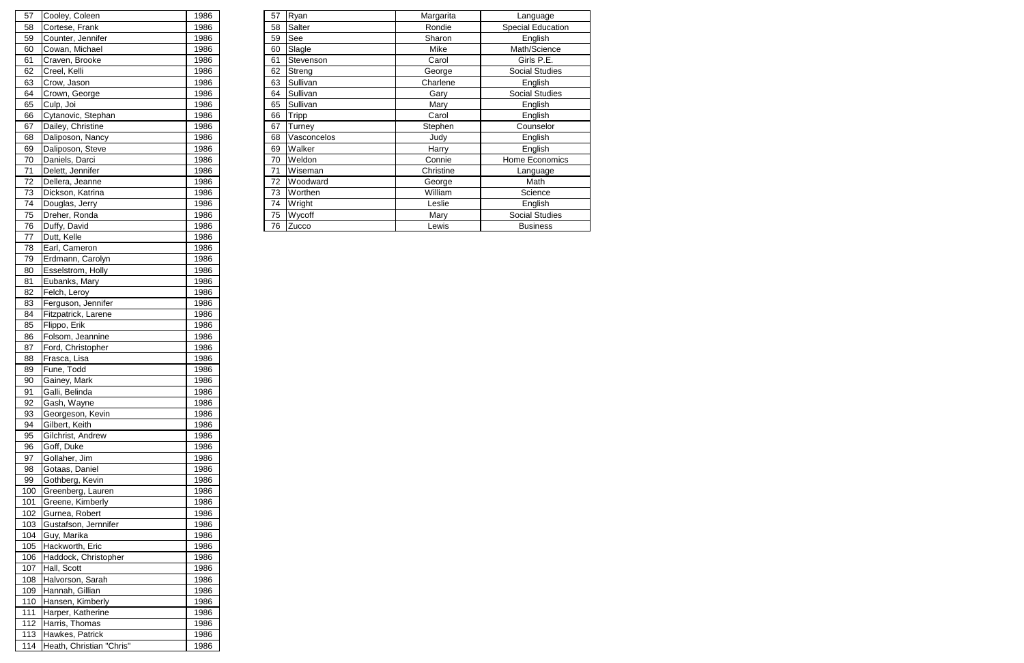| 57 | Cooley, Coleen     | 1986 | 57 | Ryan         | Margarita | Language              |
|----|--------------------|------|----|--------------|-----------|-----------------------|
| 58 | Cortese, Frank     | 1986 | 58 | Salter       | Rondie    | Special Education     |
| 59 | Counter, Jennifer  | 1986 | 59 | See          | Sharon    | English               |
| 60 | Cowan, Michael     | 1986 | 60 | Slagle       | Mike      | Math/Science          |
| 61 | Craven, Brooke     | 1986 | 61 | Stevenson    | Carol     | Girls P.E.            |
| 62 | Creel, Kelli       | 1986 | 62 | Streng       | George    | <b>Social Studies</b> |
| 63 | Crow, Jason        | 1986 | 63 | Sullivan     | Charlene  | English               |
| 64 | Crown, George      | 1986 | 64 | Sullivan     | Gary      | Social Studies        |
| 65 | Culp, Joi          | 1986 | 65 | Sullivan     | Mary      | English               |
| 66 | Cytanovic, Stephan | 1986 | 66 | <b>Tripp</b> | Carol     | English               |
| 67 | Dailey, Christine  | 1986 | 67 | Turney       | Stephen   | Counselor             |
| 68 | Daliposon, Nancy   | 1986 | 68 | Vasconcelos  | Judy      | English               |
| 69 | Daliposon, Steve   | 1986 | 69 | Walker       | Harry     | English               |
| 70 | Daniels, Darci     | 1986 | 70 | Weldon       | Connie    | Home Economics        |
| 71 | Delett, Jennifer   | 1986 | 71 | Wiseman      | Christine | Language              |
| 72 | Dellera, Jeanne    | 1986 | 72 | Woodward     | George    | Math                  |
| 73 | Dickson, Katrina   | 1986 | 73 | Worthen      | William   | Science               |
| 74 | Douglas, Jerry     | 1986 | 74 | Wright       | Leslie    | English               |
| 75 | Dreher, Ronda      | 1986 | 75 | Wycoff       | Mary      | <b>Social Studies</b> |
| 76 | Duffy, David       | 1986 | 76 | Zucco        | Lewis     | <b>Business</b>       |
|    |                    |      |    |              |           |                       |

| 57  | Cooley, Coleen           | 1986 |
|-----|--------------------------|------|
| 58  | Cortese, Frank           | 1986 |
| 59  | Counter, Jennifer        | 1986 |
| 60  | Cowan, Michael           | 1986 |
| 61  | Craven, Brooke           | 1986 |
| 62  | Creel, Kelli             | 1986 |
| 63  | Crow, Jason              | 1986 |
| 64  | Crown, George            | 1986 |
| 65  | Culp, Joi                | 1986 |
| 66  | Cytanovic, Stephan       | 1986 |
| 67  | Dailey, Christine        | 1986 |
| 68  | Daliposon, Nancy         | 1986 |
| 69  | Daliposon, Steve         | 1986 |
| 70  |                          | 1986 |
|     | Daniels, Darci           |      |
| 71  | Delett, Jennifer         | 1986 |
| 72  | Dellera, Jeanne          | 1986 |
| 73  | Dickson, Katrina         | 1986 |
| 74  | Douglas, Jerry           | 1986 |
| 75  | Dreher, Ronda            | 1986 |
| 76  | Duffy, David             | 1986 |
| 77  | Dutt, Kelle              | 1986 |
| 78  | Earl, Cameron            | 1986 |
| 79  | Erdmann, Carolyn         | 1986 |
| 80  | Esselstrom, Holly        | 1986 |
| 81  | Eubanks, Mary            | 1986 |
| 82  | Felch, Leroy             | 1986 |
| 83  | Ferguson, Jennifer       | 1986 |
| 84  | Fitzpatrick, Larene      | 1986 |
| 85  | Flippo, Erik             | 1986 |
| 86  | Folsom, Jeannine         | 1986 |
| 87  | Ford, Christopher        | 1986 |
| 88  | Frasca, Lisa             | 1986 |
| 89  | Fune, Todd               | 1986 |
| 90  | Gainey, Mark             | 1986 |
| 91  | Galli, Belinda           | 1986 |
| 92  | Gash, Wayne              | 1986 |
| 93  | Georgeson, Kevin         | 1986 |
| 94  | Gilbert, Keith           | 1986 |
|     |                          |      |
| 95  | Gilchrist, Andrew        | 1986 |
| 96  | Goff, Duke               | 1986 |
| 97  | Gollaher, Jim            | 1986 |
| 98  | Gotaas, Daniel           | 1986 |
| 99  | Gothberg, Kevin          | 1986 |
| 100 | Greenberg, Lauren        | 1986 |
| 101 | Greene, Kimberly         | 1986 |
| 102 | Gurnea, Robert           | 1986 |
| 103 | Gustafson, Jernnifer     | 1986 |
| 104 | Guy, Marika              | 1986 |
| 105 | Hackworth, Eric          | 1986 |
| 106 | Haddock, Christopher     | 1986 |
| 107 | Hall, Scott              | 1986 |
| 108 | Halvorson, Sarah         | 1986 |
| 109 | Hannah, Gillian          | 1986 |
| 110 | Hansen, Kimberly         | 1986 |
| 111 | Harper, Katherine        | 1986 |
| 112 | Harris, Thomas           | 1986 |
| 113 | Hawkes, Patrick          | 1986 |
| 114 | Heath, Christian "Chris" | 1986 |
|     |                          |      |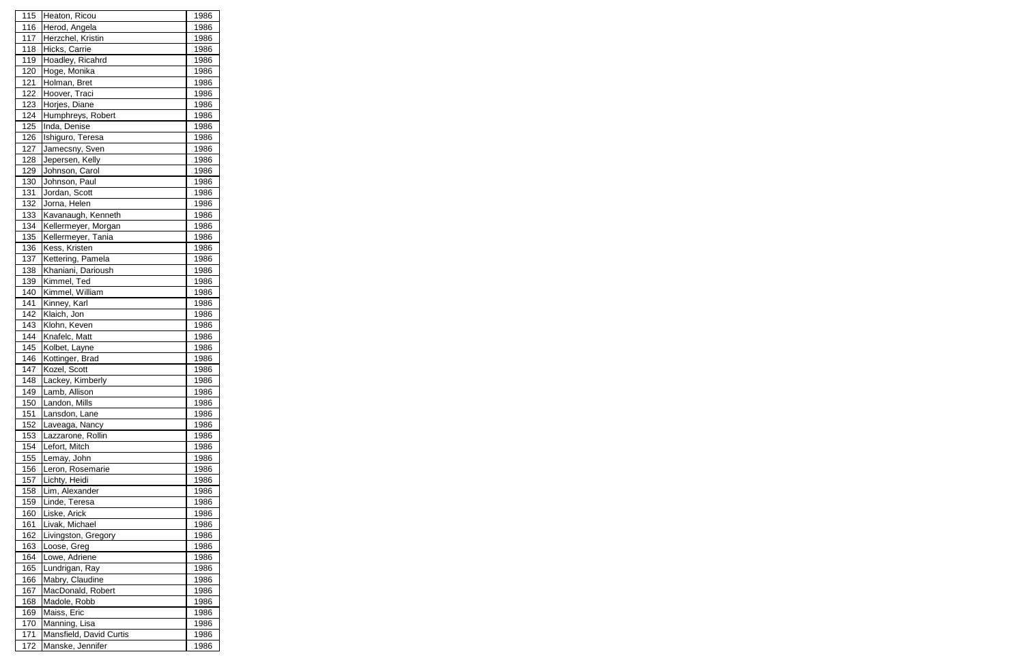| 115 | Heaton, Ricou                       | 1986 |
|-----|-------------------------------------|------|
| 116 | Herod, Angela                       | 1986 |
| 117 | Herzchel, Kristin                   | 1986 |
| 118 | Hicks, Carrie                       | 1986 |
| 119 | Hoadley, Ricahrd                    | 1986 |
| 120 | Hoge, Monika                        | 1986 |
| 121 | Holman, Bret                        | 1986 |
| 122 | Hoover, Traci                       | 1986 |
| 123 | Horjes, Diane                       | 1986 |
| 124 | Humphreys, Robert                   | 1986 |
| 125 | Inda, Denise                        | 1986 |
| 126 | Ishiguro, Teresa                    | 1986 |
| 127 | Jamecsny, Sven                      | 1986 |
| 128 | Jepersen, Kelly                     | 1986 |
| 129 | Johnson, Carol                      | 1986 |
| 130 | Johnson, Paul                       | 1986 |
| 131 | Jordan, Scott                       | 1986 |
| 132 | Jorna, Helen                        | 1986 |
| 133 | Kavanaugh, Kenneth                  | 1986 |
| 134 | Kellermeyer, Morgan                 | 1986 |
| 135 |                                     | 1986 |
|     | Kellermeyer, Tania<br>Kess, Kristen |      |
| 136 |                                     | 1986 |
| 137 | Kettering, Pamela                   | 1986 |
| 138 | Khaniani, Darioush                  | 1986 |
| 139 | Kimmel, Ted                         | 1986 |
| 140 | Kimmel, William                     | 1986 |
| 141 | Kinney, Karl                        | 1986 |
| 142 | Klaich, Jon                         | 1986 |
| 143 | Klohn, Keven                        | 1986 |
| 144 | Knafelc, Matt                       | 1986 |
| 145 | Kolbet, Layne                       | 1986 |
| 146 | Kottinger, Brad                     | 1986 |
| 147 | Kozel, Scott                        | 1986 |
| 148 | Lackey, Kimberly                    | 1986 |
| 149 | Lamb, Allison                       | 1986 |
| 150 | Landon, Mills                       | 1986 |
| 151 | Lansdon, Lane                       | 1986 |
| 152 | Laveaga, Nancy                      | 1986 |
| 153 | Lazzarone, Rollin                   | 1986 |
| 154 | Lefort, Mitch                       | 1986 |
| 155 | Lemay, John                         | 1986 |
| 156 | Leron, Rosemarie                    | 1986 |
| 157 | Lichty, Heidi                       | 1986 |
| 158 | Lim, Alexander                      | 1986 |
| 159 | Linde, Teresa                       | 1986 |
| 160 | Liske, Arick                        | 1986 |
| 161 | Livak, Michael                      | 1986 |
| 162 | Livingston, Gregory                 | 1986 |
| 163 | Loose, Greg                         | 1986 |
| 164 | Lowe, Adriene                       | 1986 |
| 165 | Lundrigan, Ray                      | 1986 |
| 166 | Mabry, Claudine                     | 1986 |
| 167 | MacDonald, Robert                   | 1986 |
| 168 | Madole, Robb                        | 1986 |
| 169 | Maiss, Eric                         | 1986 |
| 170 | Manning, Lisa                       | 1986 |
| 171 | Mansfield, David Curtis             | 1986 |
| 172 | Manske, Jennifer                    | 1986 |
|     |                                     |      |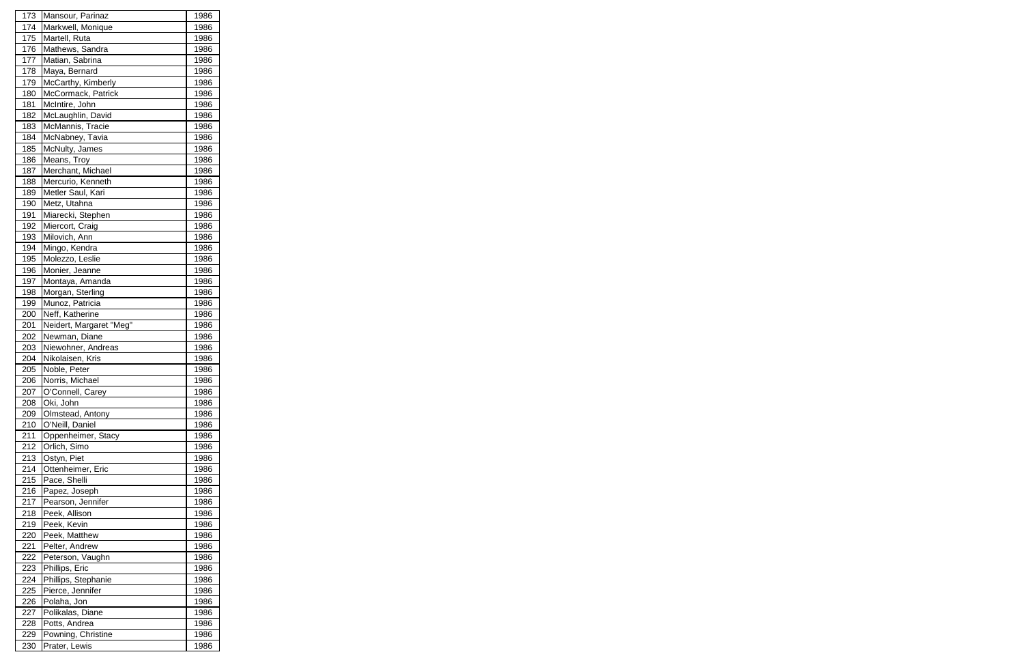| 173 |                         |      |
|-----|-------------------------|------|
|     | Mansour, Parinaz        | 1986 |
| 174 | Markwell, Monique       | 1986 |
| 175 | Martell, Ruta           | 1986 |
| 176 | Mathews, Sandra         | 1986 |
| 177 | Matian, Sabrina         | 1986 |
| 178 | Maya, Bernard           | 1986 |
| 179 | McCarthy, Kimberly      | 1986 |
| 180 | McCormack, Patrick      | 1986 |
| 181 | McIntire, John          | 1986 |
| 182 | McLaughlin, David       | 1986 |
| 183 | McMannis, Tracie        | 1986 |
| 184 | McNabney, Tavia         | 1986 |
| 185 | McNulty, James          | 1986 |
| 186 | Means, Troy             | 1986 |
| 187 | Merchant, Michael       | 1986 |
| 188 | Mercurio, Kenneth       | 1986 |
| 189 | Metler Saul, Kari       | 1986 |
| 190 | Metz, Utahna            | 1986 |
| 191 | Miarecki, Stephen       | 1986 |
| 192 | Miercort, Craig         | 1986 |
| 193 | Milovich, Ann           | 1986 |
| 194 |                         |      |
|     | Mingo, Kendra           | 1986 |
| 195 | Molezzo, Leslie         | 1986 |
| 196 | Monier, Jeanne          | 1986 |
| 197 | Montaya, Amanda         | 1986 |
| 198 | Morgan, Sterling        | 1986 |
| 199 | Munoz, Patricia         | 1986 |
| 200 | Neff, Katherine         | 1986 |
| 201 | Neidert, Margaret "Meg" | 1986 |
| 202 | Newman, Diane           | 1986 |
| 203 | Niewohner, Andreas      | 1986 |
| 204 | Nikolaisen, Kris        | 1986 |
| 205 | Noble, Peter            | 1986 |
|     | Norris, Michael         |      |
| 206 |                         | 1986 |
| 207 | O'Connell, Carey        | 1986 |
| 208 | Oki, John               | 1986 |
| 209 | Olmstead, Antony        | 1986 |
| 210 | O'Neill, Daniel         | 1986 |
| 211 | Oppenheimer, Stacy      | 1986 |
| 212 | Orlich, Simo            | 1986 |
| 213 | Ostyn, Piet             | 1986 |
| 214 | Ottenheimer, Eric       | 1986 |
| 215 | Pace, Shelli            | 1986 |
| 216 | Papez, Joseph           | 1986 |
| 217 | Pearson, Jennifer       | 1986 |
| 218 | Peek, Allison           | 1986 |
| 219 | Peek, Kevin             | 1986 |
| 220 | Peek, Matthew           | 1986 |
| 221 | Pelter, Andrew          | 1986 |
| 222 | Peterson, Vaughn        | 1986 |
| 223 | Phillips, Eric          | 1986 |
| 224 | Phillips, Stephanie     | 1986 |
| 225 | Pierce, Jennifer        | 1986 |
| 226 | Polaha, Jon             | 1986 |
| 227 | Polikalas, Diane        | 1986 |
| 228 | Potts, Andrea           | 1986 |
| 229 | Powning, Christine      | 1986 |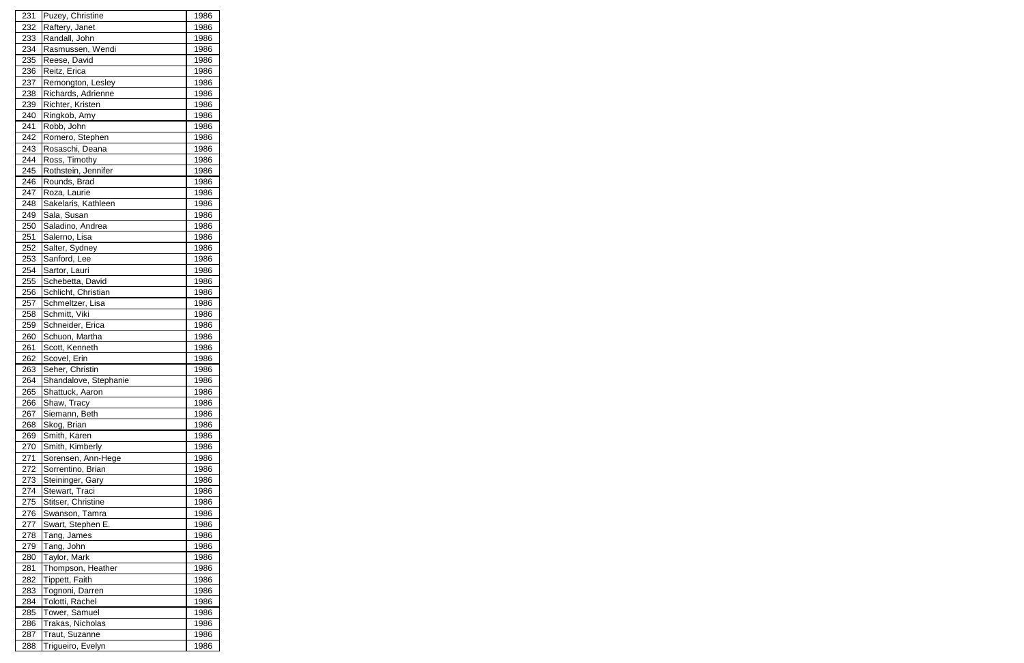| 231        | Puzey, Christine                         | 1986         |
|------------|------------------------------------------|--------------|
| 232        | Raftery, Janet                           | 1986         |
| 233        | Randall, John                            | 1986         |
| 234        | Rasmussen, Wendi                         | 1986         |
| 235        | Reese, David                             | 1986         |
| 236        | Reitz, Erica                             | 1986         |
| 237        | Remongton, Lesley                        | 1986         |
| 238        | Richards, Adrienne                       | 1986         |
| 239        | Richter, Kristen                         | 1986         |
| 240        | Ringkob, Amy                             | 1986         |
| 241        | Robb, John                               | 1986         |
| 242        | Romero, Stephen                          | 1986         |
| 243        | Rosaschi, Deana                          | 1986         |
| 244        | Ross, Timothy                            | 1986         |
| 245        | Rothstein, Jennifer                      | 1986         |
| 246        | Rounds, Brad                             | 1986         |
| 247        | Roza, Laurie                             | 1986         |
| 248        | Sakelaris, Kathleen                      | 1986         |
| 249        | Sala, Susan                              | 1986         |
| 250        | Saladino, Andrea                         | 1986         |
| 251        | Salerno, Lisa                            | 1986         |
| 252        | Salter, Sydney                           | 1986         |
| 253        | Sanford, Lee                             | 1986         |
| 254        | Sartor, Lauri                            | 1986         |
| 255        | Schebetta, David                         | 1986         |
| 256        | Schlicht, Christian                      | 1986         |
| 257        | Schmeltzer, Lisa                         | 1986         |
| 258        | Schmitt, Viki                            | 1986         |
| 259        | Schneider, Erica                         | 1986         |
| 260        | Schuon, Martha                           | 1986         |
| 261        | Scott, Kenneth                           | 1986         |
| 262        | Scovel, Erin                             | 1986         |
| 263        | Seher, Christin                          | 1986         |
| 264        |                                          |              |
| 265        | Shandalove, Stephanie<br>Shattuck, Aaron | 1986<br>1986 |
| 266        | Shaw, Tracy                              | 1986         |
| 267        | Siemann, Beth                            | 1986         |
| 268        | Skog, Brian                              | 1986         |
| 269        | Smith, Karen                             | 1986         |
| 270        | Smith, Kimberly                          | 1986         |
| 271        | Sorensen, Ann-Hege                       | 1986         |
| 272        | Sorrentino, Brian                        | 1986         |
|            |                                          |              |
| 273<br>274 | Steininger, Gary<br>Stewart, Traci       | 1986<br>1986 |
| 275        | Stitser, Christine                       | 1986         |
| 276        |                                          | 1986         |
| 277        | Swanson, Tamra                           |              |
| 278        | Swart, Stephen E.                        | 1986<br>1986 |
|            | Tang, James                              |              |
| 279        | Tang, John                               | 1986         |
| 280        | Taylor, Mark                             | 1986         |
| 281        | Thompson, Heather                        | 1986         |
| 282        | Tippett, Faith                           | 1986         |
| 283        | Tognoni, Darren                          | 1986         |
| 284        | Tolotti, Rachel                          | 1986         |
| 285        | Tower, Samuel                            | 1986         |
| 286        | Trakas, Nicholas                         | 1986         |
| 287        | Traut, Suzanne                           | 1986         |
| 288        | Trigueiro, Evelyn                        | 1986         |